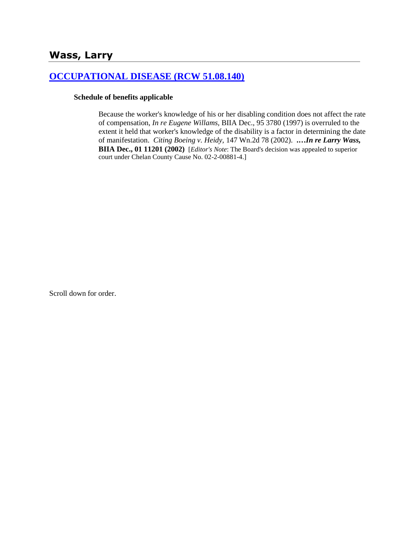# **[OCCUPATIONAL DISEASE \(RCW 51.08.140\)](http://www.biia.wa.gov/SDSubjectIndex.html#OCCUPATIONAL_DISEASE)**

#### **Schedule of benefits applicable**

Because the worker's knowledge of his or her disabling condition does not affect the rate of compensation, *In re Eugene Willams,* BIIA Dec., 95 3780 (1997) is overruled to the extent it held that worker's knowledge of the disability is a factor in determining the date of manifestation. *Citing Boeing v. Heidy,* 147 Wn.2d 78 (2002). **.…***In re Larry Wass,* **BIIA Dec., 01 11201 (2002)** [*Editor's Note*: The Board's decision was appealed to superior court under Chelan County Cause No. 02-2-00881-4.]

Scroll down for order.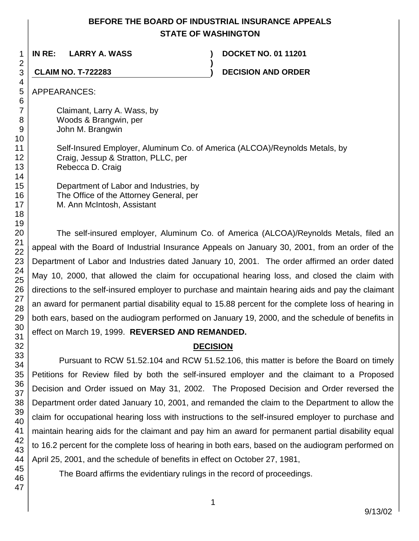# **BEFORE THE BOARD OF INDUSTRIAL INSURANCE APPEALS STATE OF WASHINGTON**

**)**

**IN RE: LARRY A. WASS ) DOCKET NO. 01 11201**

**CLAIM NO. T-722283 ) DECISION AND ORDER**

APPEARANCES:

Claimant, Larry A. Wass, by Woods & Brangwin, per John M. Brangwin

Self-Insured Employer, Aluminum Co. of America (ALCOA)/Reynolds Metals, by Craig, Jessup & Stratton, PLLC, per Rebecca D. Craig

Department of Labor and Industries, by The Office of the Attorney General, per M. Ann McIntosh, Assistant

The self-insured employer, Aluminum Co. of America (ALCOA)/Reynolds Metals, filed an appeal with the Board of Industrial Insurance Appeals on January 30, 2001, from an order of the Department of Labor and Industries dated January 10, 2001. The order affirmed an order dated May 10, 2000, that allowed the claim for occupational hearing loss, and closed the claim with directions to the self-insured employer to purchase and maintain hearing aids and pay the claimant an award for permanent partial disability equal to 15.88 percent for the complete loss of hearing in both ears, based on the audiogram performed on January 19, 2000, and the schedule of benefits in effect on March 19, 1999. **REVERSED AND REMANDED.**

# **DECISION**

Pursuant to RCW 51.52.104 and RCW 51.52.106, this matter is before the Board on timely Petitions for Review filed by both the self-insured employer and the claimant to a Proposed Decision and Order issued on May 31, 2002. The Proposed Decision and Order reversed the Department order dated January 10, 2001, and remanded the claim to the Department to allow the claim for occupational hearing loss with instructions to the self-insured employer to purchase and maintain hearing aids for the claimant and pay him an award for permanent partial disability equal to 16.2 percent for the complete loss of hearing in both ears, based on the audiogram performed on April 25, 2001, and the schedule of benefits in effect on October 27, 1981,

The Board affirms the evidentiary rulings in the record of proceedings.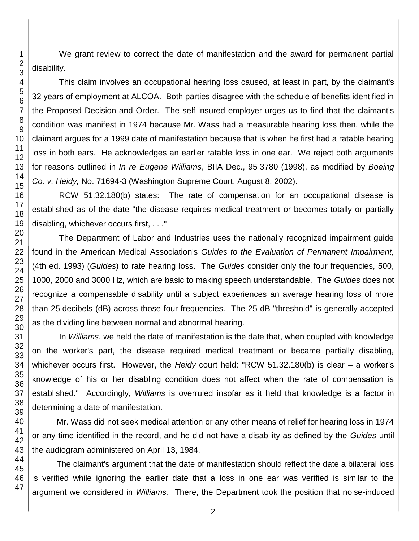We grant review to correct the date of manifestation and the award for permanent partial disability.

This claim involves an occupational hearing loss caused, at least in part, by the claimant's 32 years of employment at ALCOA. Both parties disagree with the schedule of benefits identified in the Proposed Decision and Order. The self-insured employer urges us to find that the claimant's condition was manifest in 1974 because Mr. Wass had a measurable hearing loss then, while the claimant argues for a 1999 date of manifestation because that is when he first had a ratable hearing loss in both ears. He acknowledges an earlier ratable loss in one ear. We reject both arguments for reasons outlined in *In re Eugene Williams*, BIIA Dec., 95 3780 (1998), as modified by *Boeing Co. v. Heidy,* No. 71694-3 (Washington Supreme Court, August 8, 2002).

RCW 51.32.180(b) states: The rate of compensation for an occupational disease is established as of the date "the disease requires medical treatment or becomes totally or partially disabling, whichever occurs first, . . ."

The Department of Labor and Industries uses the nationally recognized impairment guide found in the American Medical Association's *Guides to the Evaluation of Permanent Impairment,*  (4th ed. 1993) (*Guides*) to rate hearing loss. The *Guides* consider only the four frequencies, 500, 1000, 2000 and 3000 Hz, which are basic to making speech understandable. The *Guides* does not recognize a compensable disability until a subject experiences an average hearing loss of more than 25 decibels (dB) across those four frequencies. The 25 dB "threshold" is generally accepted as the dividing line between normal and abnormal hearing.

In *Williams*, we held the date of manifestation is the date that, when coupled with knowledge on the worker's part, the disease required medical treatment or became partially disabling, whichever occurs first. However, the *Heidy* court held: "RCW 51.32.180(b) is clear – a worker's knowledge of his or her disabling condition does not affect when the rate of compensation is established." Accordingly, *Williams* is overruled insofar as it held that knowledge is a factor in determining a date of manifestation.

Mr. Wass did not seek medical attention or any other means of relief for hearing loss in 1974 or any time identified in the record, and he did not have a disability as defined by the *Guides* until the audiogram administered on April 13, 1984.

The claimant's argument that the date of manifestation should reflect the date a bilateral loss is verified while ignoring the earlier date that a loss in one ear was verified is similar to the argument we considered in *Williams.* There, the Department took the position that noise-induced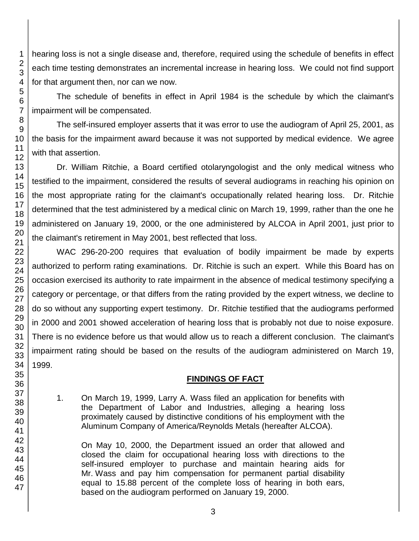hearing loss is not a single disease and, therefore, required using the schedule of benefits in effect each time testing demonstrates an incremental increase in hearing loss. We could not find support for that argument then, nor can we now.

The schedule of benefits in effect in April 1984 is the schedule by which the claimant's impairment will be compensated.

The self-insured employer asserts that it was error to use the audiogram of April 25, 2001, as the basis for the impairment award because it was not supported by medical evidence. We agree with that assertion.

Dr. William Ritchie, a Board certified otolaryngologist and the only medical witness who testified to the impairment, considered the results of several audiograms in reaching his opinion on the most appropriate rating for the claimant's occupationally related hearing loss. Dr. Ritchie determined that the test administered by a medical clinic on March 19, 1999, rather than the one he administered on January 19, 2000, or the one administered by ALCOA in April 2001, just prior to the claimant's retirement in May 2001, best reflected that loss.

WAC 296-20-200 requires that evaluation of bodily impairment be made by experts authorized to perform rating examinations. Dr. Ritchie is such an expert. While this Board has on occasion exercised its authority to rate impairment in the absence of medical testimony specifying a category or percentage, or that differs from the rating provided by the expert witness, we decline to do so without any supporting expert testimony. Dr. Ritchie testified that the audiograms performed in 2000 and 2001 showed acceleration of hearing loss that is probably not due to noise exposure. There is no evidence before us that would allow us to reach a different conclusion. The claimant's impairment rating should be based on the results of the audiogram administered on March 19, 1999.

## **FINDINGS OF FACT**

1. On March 19, 1999, Larry A. Wass filed an application for benefits with the Department of Labor and Industries, alleging a hearing loss proximately caused by distinctive conditions of his employment with the Aluminum Company of America/Reynolds Metals (hereafter ALCOA).

On May 10, 2000, the Department issued an order that allowed and closed the claim for occupational hearing loss with directions to the self-insured employer to purchase and maintain hearing aids for Mr. Wass and pay him compensation for permanent partial disability equal to 15.88 percent of the complete loss of hearing in both ears, based on the audiogram performed on January 19, 2000.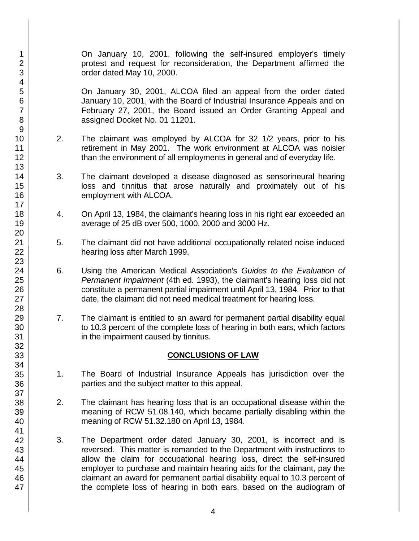On January 10, 2001, following the self-insured employer's timely protest and request for reconsideration, the Department affirmed the order dated May 10, 2000.

On January 30, 2001, ALCOA filed an appeal from the order dated January 10, 2001, with the Board of Industrial Insurance Appeals and on February 27, 2001, the Board issued an Order Granting Appeal and assigned Docket No. 01 11201.

- 2. The claimant was employed by ALCOA for 32 1/2 years, prior to his retirement in May 2001. The work environment at ALCOA was noisier than the environment of all employments in general and of everyday life.
- 3. The claimant developed a disease diagnosed as sensorineural hearing loss and tinnitus that arose naturally and proximately out of his employment with ALCOA.
- 4. On April 13, 1984, the claimant's hearing loss in his right ear exceeded an average of 25 dB over 500, 1000, 2000 and 3000 Hz.
- 5. The claimant did not have additional occupationally related noise induced hearing loss after March 1999.
- 6. Using the American Medical Association's *Guides to the Evaluation of Permanent Impairment* (4th ed. 1993), the claimant's hearing loss did not constitute a permanent partial impairment until April 13, 1984. Prior to that date, the claimant did not need medical treatment for hearing loss.
- 7. The claimant is entitled to an award for permanent partial disability equal to 10.3 percent of the complete loss of hearing in both ears, which factors in the impairment caused by tinnitus.

## **CONCLUSIONS OF LAW**

- 1. The Board of Industrial Insurance Appeals has jurisdiction over the parties and the subject matter to this appeal.
- 2. The claimant has hearing loss that is an occupational disease within the meaning of RCW 51.08.140, which became partially disabling within the meaning of RCW 51.32.180 on April 13, 1984.
- 3. The Department order dated January 30, 2001, is incorrect and is reversed. This matter is remanded to the Department with instructions to allow the claim for occupational hearing loss, direct the self-insured employer to purchase and maintain hearing aids for the claimant, pay the claimant an award for permanent partial disability equal to 10.3 percent of the complete loss of hearing in both ears, based on the audiogram of